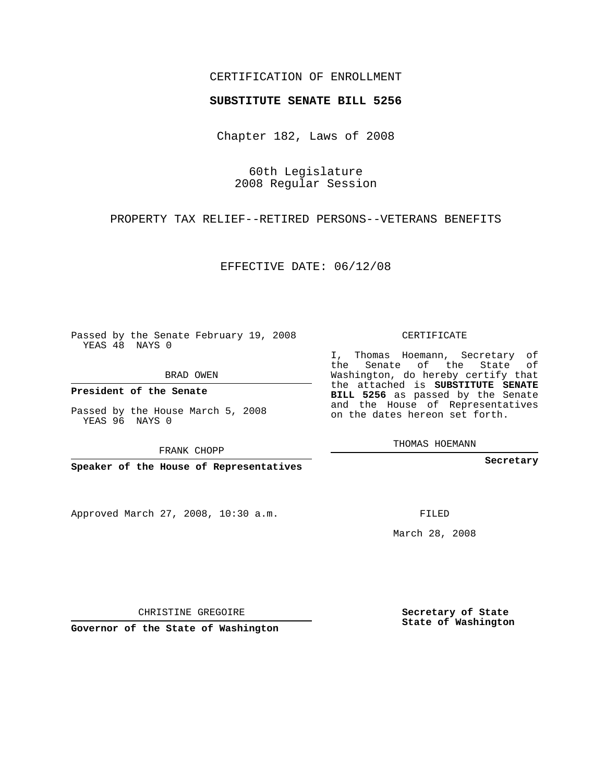# CERTIFICATION OF ENROLLMENT

### **SUBSTITUTE SENATE BILL 5256**

Chapter 182, Laws of 2008

60th Legislature 2008 Regular Session

PROPERTY TAX RELIEF--RETIRED PERSONS--VETERANS BENEFITS

EFFECTIVE DATE: 06/12/08

Passed by the Senate February 19, 2008 YEAS 48 NAYS 0

BRAD OWEN

**President of the Senate**

Passed by the House March 5, 2008 YEAS 96 NAYS 0

FRANK CHOPP

**Speaker of the House of Representatives**

Approved March 27, 2008, 10:30 a.m.

CERTIFICATE

I, Thomas Hoemann, Secretary of the Senate of the State of Washington, do hereby certify that the attached is **SUBSTITUTE SENATE BILL 5256** as passed by the Senate and the House of Representatives on the dates hereon set forth.

THOMAS HOEMANN

**Secretary**

FILED

March 28, 2008

**Secretary of State State of Washington**

CHRISTINE GREGOIRE

**Governor of the State of Washington**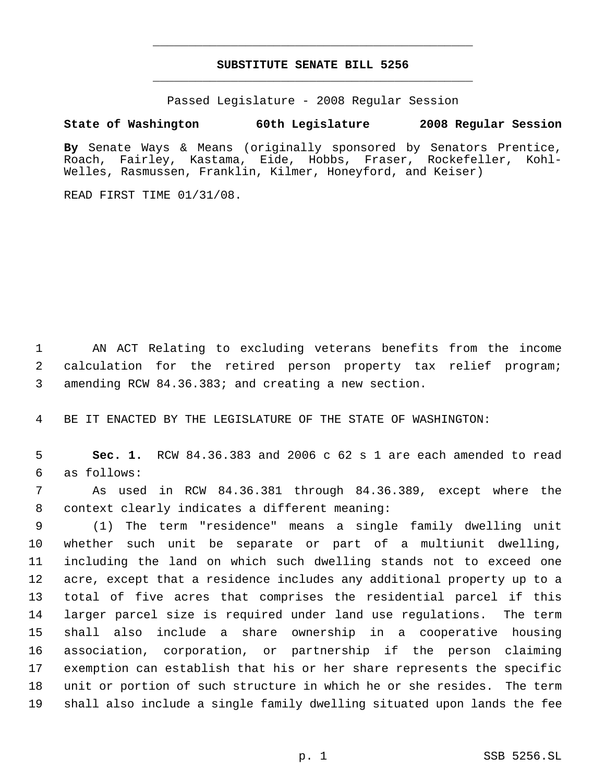# **SUBSTITUTE SENATE BILL 5256** \_\_\_\_\_\_\_\_\_\_\_\_\_\_\_\_\_\_\_\_\_\_\_\_\_\_\_\_\_\_\_\_\_\_\_\_\_\_\_\_\_\_\_\_\_

\_\_\_\_\_\_\_\_\_\_\_\_\_\_\_\_\_\_\_\_\_\_\_\_\_\_\_\_\_\_\_\_\_\_\_\_\_\_\_\_\_\_\_\_\_

Passed Legislature - 2008 Regular Session

# **State of Washington 60th Legislature 2008 Regular Session**

**By** Senate Ways & Means (originally sponsored by Senators Prentice, Roach, Fairley, Kastama, Eide, Hobbs, Fraser, Rockefeller, Kohl-Welles, Rasmussen, Franklin, Kilmer, Honeyford, and Keiser)

READ FIRST TIME 01/31/08.

 AN ACT Relating to excluding veterans benefits from the income calculation for the retired person property tax relief program; amending RCW 84.36.383; and creating a new section.

BE IT ENACTED BY THE LEGISLATURE OF THE STATE OF WASHINGTON:

 **Sec. 1.** RCW 84.36.383 and 2006 c 62 s 1 are each amended to read as follows:

 As used in RCW 84.36.381 through 84.36.389, except where the context clearly indicates a different meaning:

 (1) The term "residence" means a single family dwelling unit whether such unit be separate or part of a multiunit dwelling, including the land on which such dwelling stands not to exceed one acre, except that a residence includes any additional property up to a total of five acres that comprises the residential parcel if this larger parcel size is required under land use regulations. The term shall also include a share ownership in a cooperative housing association, corporation, or partnership if the person claiming exemption can establish that his or her share represents the specific unit or portion of such structure in which he or she resides. The term shall also include a single family dwelling situated upon lands the fee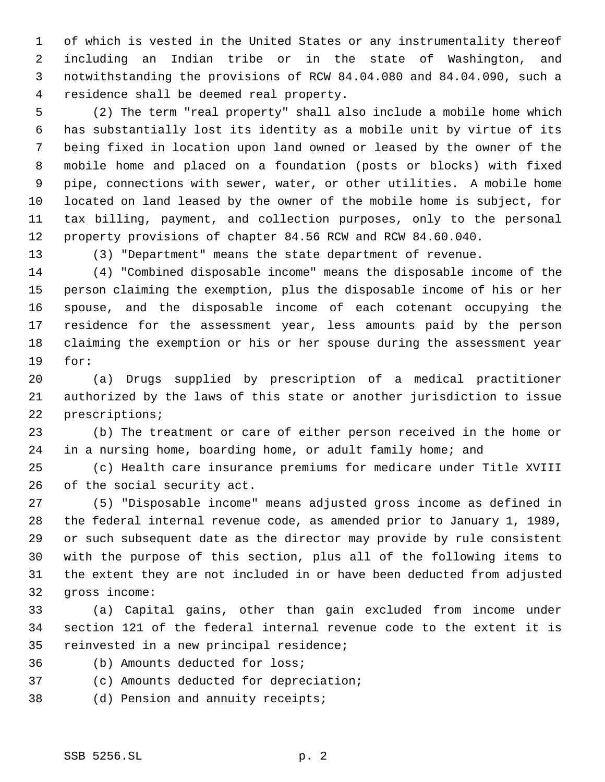of which is vested in the United States or any instrumentality thereof including an Indian tribe or in the state of Washington, and notwithstanding the provisions of RCW 84.04.080 and 84.04.090, such a residence shall be deemed real property.

 (2) The term "real property" shall also include a mobile home which has substantially lost its identity as a mobile unit by virtue of its being fixed in location upon land owned or leased by the owner of the mobile home and placed on a foundation (posts or blocks) with fixed pipe, connections with sewer, water, or other utilities. A mobile home located on land leased by the owner of the mobile home is subject, for tax billing, payment, and collection purposes, only to the personal property provisions of chapter 84.56 RCW and RCW 84.60.040.

(3) "Department" means the state department of revenue.

 (4) "Combined disposable income" means the disposable income of the person claiming the exemption, plus the disposable income of his or her spouse, and the disposable income of each cotenant occupying the residence for the assessment year, less amounts paid by the person claiming the exemption or his or her spouse during the assessment year for:

 (a) Drugs supplied by prescription of a medical practitioner authorized by the laws of this state or another jurisdiction to issue prescriptions;

 (b) The treatment or care of either person received in the home or in a nursing home, boarding home, or adult family home; and

 (c) Health care insurance premiums for medicare under Title XVIII of the social security act.

 (5) "Disposable income" means adjusted gross income as defined in the federal internal revenue code, as amended prior to January 1, 1989, or such subsequent date as the director may provide by rule consistent with the purpose of this section, plus all of the following items to the extent they are not included in or have been deducted from adjusted gross income:

 (a) Capital gains, other than gain excluded from income under section 121 of the federal internal revenue code to the extent it is reinvested in a new principal residence;

- (b) Amounts deducted for loss;
- (c) Amounts deducted for depreciation;
- (d) Pension and annuity receipts;